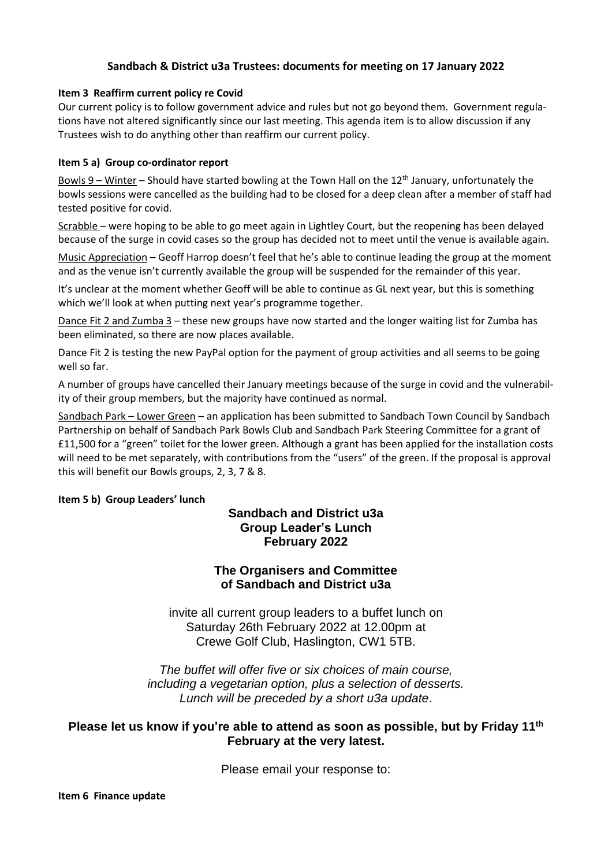### **Sandbach & District u3a Trustees: documents for meeting on 17 January 2022**

#### **Item 3 Reaffirm current policy re Covid**

Our current policy is to follow government advice and rules but not go beyond them. Government regulations have not altered significantly since our last meeting. This agenda item is to allow discussion if any Trustees wish to do anything other than reaffirm our current policy.

#### **Item 5 a) Group co-ordinator report**

Bowls  $9$  – Winter – Should have started bowling at the Town Hall on the 12<sup>th</sup> January, unfortunately the bowls sessions were cancelled as the building had to be closed for a deep clean after a member of staff had tested positive for covid.

Scrabble – were hoping to be able to go meet again in Lightley Court, but the reopening has been delayed because of the surge in covid cases so the group has decided not to meet until the venue is available again.

Music Appreciation – Geoff Harrop doesn't feel that he's able to continue leading the group at the moment and as the venue isn't currently available the group will be suspended for the remainder of this year.

It's unclear at the moment whether Geoff will be able to continue as GL next year, but this is something which we'll look at when putting next year's programme together.

Dance Fit 2 and Zumba 3 – these new groups have now started and the longer waiting list for Zumba has been eliminated, so there are now places available.

Dance Fit 2 is testing the new PayPal option for the payment of group activities and all seems to be going well so far.

A number of groups have cancelled their January meetings because of the surge in covid and the vulnerability of their group members, but the majority have continued as normal.

Sandbach Park – Lower Green – an application has been submitted to Sandbach Town Council by Sandbach Partnership on behalf of Sandbach Park Bowls Club and Sandbach Park Steering Committee for a grant of £11,500 for a "green" toilet for the lower green. Although a grant has been applied for the installation costs will need to be met separately, with contributions from the "users" of the green. If the proposal is approval this will benefit our Bowls groups, 2, 3, 7 & 8.

#### **Item 5 b) Group Leaders' lunch**

# **Sandbach and District u3a Group Leader's Lunch February 2022**

# **The Organisers and Committee of Sandbach and District u3a**

invite all current group leaders to a buffet lunch on Saturday 26th February 2022 at 12.00pm at Crewe Golf Club, Haslington, CW1 5TB.

*The buffet will offer five or six choices of main course, including a vegetarian option, plus a selection of desserts. Lunch will be preceded by a short u3a update*.

## **Please let us know if you're able to attend as soon as possible, but by Friday 11th February at the very latest.**

Please email your response to: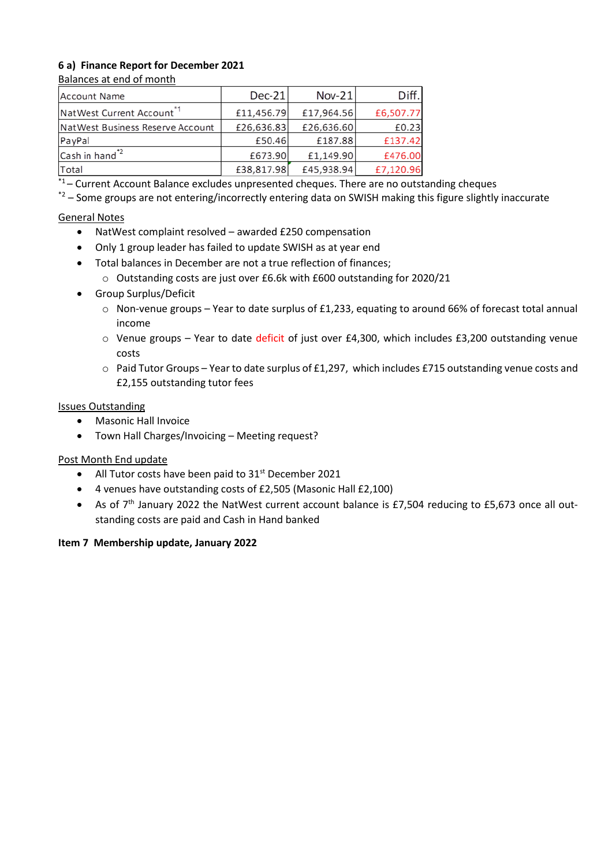# **6 a) Finance Report for December 2021**

#### Balances at end of month

| <b>Account Name</b>                   | $Dec-21$   | $Nov-21$   | Diff.     |
|---------------------------------------|------------|------------|-----------|
| NatWest Current Account <sup>*1</sup> | £11,456.79 | £17,964.56 | £6,507.77 |
| NatWest Business Reserve Account      | £26,636.83 | £26,636.60 | £0.23     |
| PayPal                                | £50.46     | £187.88    | £137.42   |
| Cash in hand <sup>*2</sup>            | £673.90    | £1,149.90  | £476.00   |
| Total                                 | £38,817.98 | £45,938.94 | £7,120.96 |

 $*1$  – Current Account Balance excludes unpresented cheques. There are no outstanding cheques

 $*2$  – Some groups are not entering/incorrectly entering data on SWISH making this figure slightly inaccurate

# General Notes

- NatWest complaint resolved awarded £250 compensation
- Only 1 group leader has failed to update SWISH as at year end
- Total balances in December are not a true reflection of finances;
	- o Outstanding costs are just over £6.6k with £600 outstanding for 2020/21
- Group Surplus/Deficit
	- o Non-venue groups Year to date surplus of £1,233, equating to around 66% of forecast total annual income
	- o Venue groups Year to date deficit of just over £4,300, which includes £3,200 outstanding venue costs
	- o Paid Tutor Groups Year to date surplus of £1,297, which includes £715 outstanding venue costs and £2,155 outstanding tutor fees

#### Issues Outstanding

- Masonic Hall Invoice
- Town Hall Charges/Invoicing Meeting request?

# Post Month End update

- All Tutor costs have been paid to  $31<sup>st</sup>$  December 2021
- 4 venues have outstanding costs of £2,505 (Masonic Hall £2,100)
- As of 7<sup>th</sup> January 2022 the NatWest current account balance is £7,504 reducing to £5,673 once all outstanding costs are paid and Cash in Hand banked

#### **Item 7 Membership update, January 2022**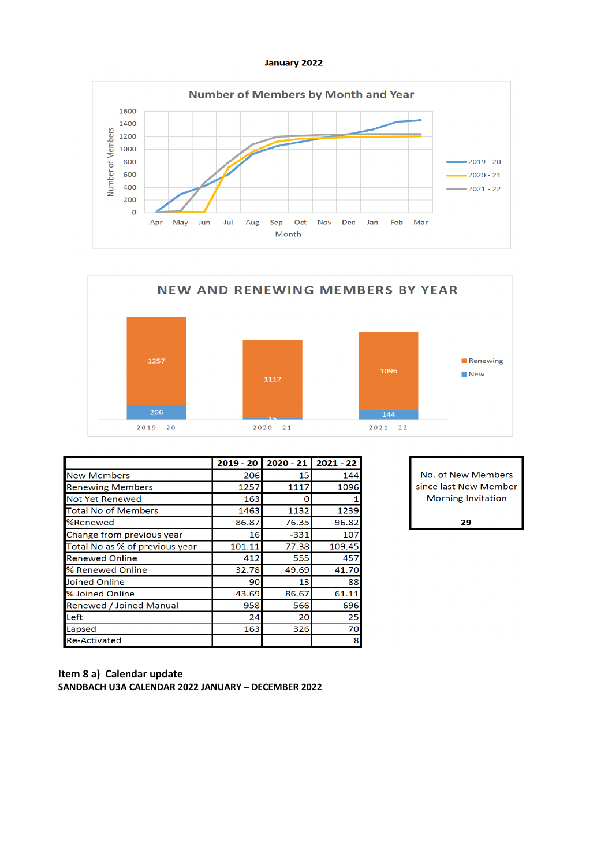



|                                | $2019 - 20$ | $2020 - 21$ | $2021 - 22$ |
|--------------------------------|-------------|-------------|-------------|
| <b>New Members</b>             | 206         | 15          | 144         |
| <b>Renewing Members</b>        | 1257        | 1117        | 1096        |
| <b>Not Yet Renewed</b>         | 163         | n           |             |
| <b>Total No of Members</b>     | 1463        | 1132        | 1239        |
| %Renewed                       | 86.87       | 76.35       | 96.82       |
| Change from previous year      | 16          | $-331$      | 107         |
| Total No as % of previous year | 101.11      | 77.38       | 109.45      |
| <b>Renewed Online</b>          | 412         | 555         | 457         |
| % Renewed Online               | 32.78       | 49.69       | 41.70       |
| Joined Online                  | 90          | 13          | 88          |
| % Joined Online                | 43.69       | 86.67       | 61.11       |
| <b>Renewed / Joined Manual</b> | 958         | 566         | 696         |
| Left                           | 24          | 20          | 25          |
| Lapsed                         | 163         | 326         | 70          |
| <b>Re-Activated</b>            |             |             | 8           |

No. of New Members since last New Member **Morning Invitation** 

29

#### Item 8 a) Calendar update SANDBACH U3A CALENDAR 2022 JANUARY - DECEMBER 2022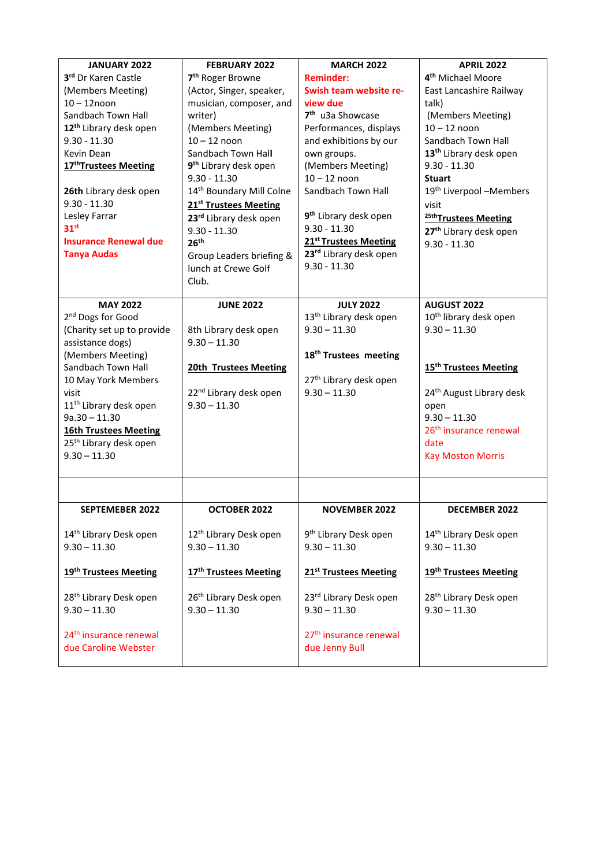| JANUARY 2022                       | <b>FEBRUARY 2022</b>               | <b>MARCH 2022</b>                  | <b>APRIL 2022</b>                    |
|------------------------------------|------------------------------------|------------------------------------|--------------------------------------|
| 3rd Dr Karen Castle                | 7 <sup>th</sup> Roger Browne       | <b>Reminder:</b>                   | 4 <sup>th</sup> Michael Moore        |
| (Members Meeting)                  | (Actor, Singer, speaker,           | Swish team website re-             | East Lancashire Railway              |
| $10 - 12$ noon                     | musician, composer, and            | view due                           | talk)                                |
| Sandbach Town Hall                 | writer)                            | 7 <sup>th</sup> u3a Showcase       | (Members Meeting)                    |
| 12 <sup>th</sup> Library desk open | (Members Meeting)                  | Performances, displays             | $10 - 12$ noon                       |
| $9.30 - 11.30$                     | $10 - 12$ noon                     | and exhibitions by our             | Sandbach Town Hall                   |
| Kevin Dean                         | Sandbach Town Hall                 | own groups.                        | 13 <sup>th</sup> Library desk open   |
| 17 <sup>th</sup> Trustees Meeting  | 9 <sup>th</sup> Library desk open  | (Members Meeting)                  | $9.30 - 11.30$                       |
|                                    | $9.30 - 11.30$                     | $10 - 12$ noon                     | <b>Stuart</b>                        |
| 26th Library desk open             | 14th Boundary Mill Colne           | Sandbach Town Hall                 | 19 <sup>th</sup> Liverpool -Members  |
| $9.30 - 11.30$                     | 21 <sup>st</sup> Trustees Meeting  |                                    | visit                                |
| Lesley Farrar                      | 23rd Library desk open             | 9 <sup>th</sup> Library desk open  | 25thTrustees Meeting                 |
| 31 <sup>st</sup>                   | $9.30 - 11.30$                     | $9.30 - 11.30$                     | 27 <sup>th</sup> Library desk open   |
| <b>Insurance Renewal due</b>       | 26 <sup>th</sup>                   | 21 <sup>st</sup> Trustees Meeting  | $9.30 - 11.30$                       |
| <b>Tanya Audas</b>                 | Group Leaders briefing &           | 23rd Library desk open             |                                      |
|                                    | lunch at Crewe Golf                | $9.30 - 11.30$                     |                                      |
|                                    | Club.                              |                                    |                                      |
|                                    |                                    |                                    |                                      |
| <b>MAY 2022</b>                    | <b>JUNE 2022</b>                   | <b>JULY 2022</b>                   | <b>AUGUST 2022</b>                   |
| 2 <sup>nd</sup> Dogs for Good      |                                    | 13 <sup>th</sup> Library desk open | 10 <sup>th</sup> library desk open   |
| (Charity set up to provide         | 8th Library desk open              | $9.30 - 11.30$                     | $9.30 - 11.30$                       |
| assistance dogs)                   | $9.30 - 11.30$                     |                                    |                                      |
| (Members Meeting)                  |                                    | 18 <sup>th</sup> Trustees meeting  | 15 <sup>th</sup> Trustees Meeting    |
| Sandbach Town Hall                 | <b>20th Trustees Meeting</b>       |                                    |                                      |
| 10 May York Members                |                                    | 27 <sup>th</sup> Library desk open |                                      |
| visit                              | 22 <sup>nd</sup> Library desk open | $9.30 - 11.30$                     | 24 <sup>th</sup> August Library desk |
| 11 <sup>th</sup> Library desk open | $9.30 - 11.30$                     |                                    | open<br>$9.30 - 11.30$               |
| $9a.30 - 11.30$                    |                                    |                                    |                                      |
| <b>16th Trustees Meeting</b>       |                                    |                                    | 26 <sup>th</sup> insurance renewal   |
| 25 <sup>th</sup> Library desk open |                                    |                                    | date                                 |
| $9.30 - 11.30$                     |                                    |                                    | <b>Kay Moston Morris</b>             |
|                                    |                                    |                                    |                                      |
| <b>SEPTEMEBER 2022</b>             | OCTOBER 2022                       | <b>NOVEMBER 2022</b>               | <b>DECEMBER 2022</b>                 |
|                                    |                                    |                                    |                                      |
| 14 <sup>th</sup> Library Desk open | 12 <sup>th</sup> Library Desk open | 9 <sup>th</sup> Library Desk open  | 14 <sup>th</sup> Library Desk open   |
| $9.30 - 11.30$                     | $9.30 - 11.30$                     | $9.30 - 11.30$                     | $9.30 - 11.30$                       |
|                                    |                                    |                                    |                                      |
| 19th Trustees Meeting              | 17 <sup>th</sup> Trustees Meeting  | 21 <sup>st</sup> Trustees Meeting  | 19th Trustees Meeting                |
| 28 <sup>th</sup> Library Desk open | 26 <sup>th</sup> Library Desk open | 23rd Library Desk open             | 28 <sup>th</sup> Library Desk open   |
| $9.30 - 11.30$                     | $9.30 - 11.30$                     | $9.30 - 11.30$                     | $9.30 - 11.30$                       |
|                                    |                                    |                                    |                                      |
| 24 <sup>th</sup> insurance renewal |                                    | 27 <sup>th</sup> insurance renewal |                                      |
| due Caroline Webster               |                                    | due Jenny Bull                     |                                      |
|                                    |                                    |                                    |                                      |